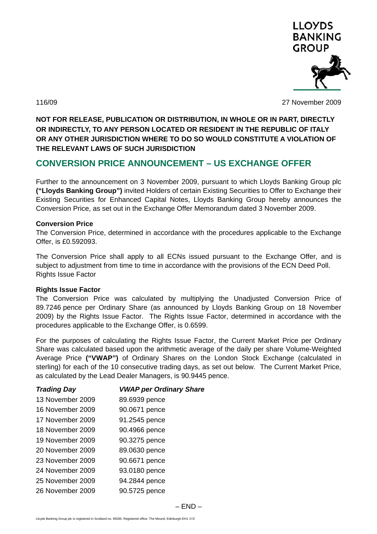

116/09 27 November 2009

**NOT FOR RELEASE, PUBLICATION OR DISTRIBUTION, IN WHOLE OR IN PART, DIRECTLY OR INDIRECTLY, TO ANY PERSON LOCATED OR RESIDENT IN THE REPUBLIC OF ITALY OR ANY OTHER JURISDICTION WHERE TO DO SO WOULD CONSTITUTE A VIOLATION OF THE RELEVANT LAWS OF SUCH JURISDICTION** 

# **CONVERSION PRICE ANNOUNCEMENT – US EXCHANGE OFFER**

Further to the announcement on 3 November 2009, pursuant to which Lloyds Banking Group plc **("Lloyds Banking Group")** invited Holders of certain Existing Securities to Offer to Exchange their Existing Securities for Enhanced Capital Notes, Lloyds Banking Group hereby announces the Conversion Price, as set out in the Exchange Offer Memorandum dated 3 November 2009.

#### **Conversion Price**

The Conversion Price, determined in accordance with the procedures applicable to the Exchange Offer, is £0.592093.

The Conversion Price shall apply to all ECNs issued pursuant to the Exchange Offer, and is subject to adjustment from time to time in accordance with the provisions of the ECN Deed Poll. Rights Issue Factor

# **Rights Issue Factor**

The Conversion Price was calculated by multiplying the Unadjusted Conversion Price of 89.7246 pence per Ordinary Share (as announced by Lloyds Banking Group on 18 November 2009) by the Rights Issue Factor. The Rights Issue Factor, determined in accordance with the procedures applicable to the Exchange Offer, is 0.6599.

For the purposes of calculating the Rights Issue Factor, the Current Market Price per Ordinary Share was calculated based upon the arithmetic average of the daily per share Volume-Weighted Average Price **("VWAP")** of Ordinary Shares on the London Stock Exchange (calculated in sterling) for each of the 10 consecutive trading days, as set out below. The Current Market Price, as calculated by the Lead Dealer Managers, is 90.9445 pence.

| <b>VWAP per Ordinary Share</b> |
|--------------------------------|
| 89.6939 pence                  |
| 90.0671 pence                  |
| 91.2545 pence                  |
| 90.4966 pence                  |
| 90.3275 pence                  |
| 89.0630 pence                  |
| 90.6671 pence                  |
| 93.0180 pence                  |
| 94.2844 pence                  |
| 90.5725 pence                  |
|                                |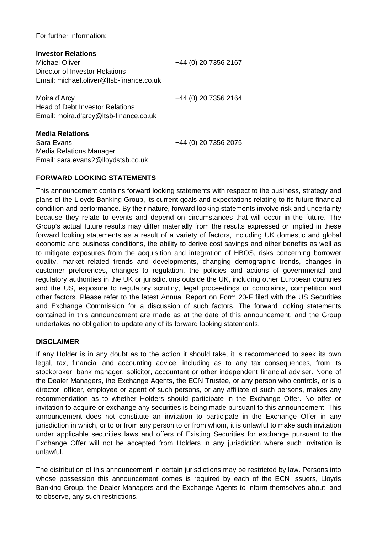For further information:

| <b>Investor Relations</b><br>Michael Oliver<br>Director of Investor Relations<br>Email: michael.oliver@ltsb-finance.co.uk | +44 (0) 20 7356 2167 |
|---------------------------------------------------------------------------------------------------------------------------|----------------------|
| Moira d'Arcy<br><b>Head of Debt Investor Relations</b><br>Email: moira.d'arcy@ltsb-finance.co.uk                          | +44 (0) 20 7356 2164 |
| <b>Media Relations</b><br>Sara Evans<br>Media Relations Manager<br>Email: sara.evans2@lloydstsb.co.uk                     | +44 (0) 20 7356 2075 |

# **FORWARD LOOKING STATEMENTS**

This announcement contains forward looking statements with respect to the business, strategy and plans of the Lloyds Banking Group, its current goals and expectations relating to its future financial condition and performance. By their nature, forward looking statements involve risk and uncertainty because they relate to events and depend on circumstances that will occur in the future. The Group's actual future results may differ materially from the results expressed or implied in these forward looking statements as a result of a variety of factors, including UK domestic and global economic and business conditions, the ability to derive cost savings and other benefits as well as to mitigate exposures from the acquisition and integration of HBOS, risks concerning borrower quality, market related trends and developments, changing demographic trends, changes in customer preferences, changes to regulation, the policies and actions of governmental and regulatory authorities in the UK or jurisdictions outside the UK, including other European countries and the US, exposure to regulatory scrutiny, legal proceedings or complaints, competition and other factors. Please refer to the latest Annual Report on Form 20-F filed with the US Securities and Exchange Commission for a discussion of such factors. The forward looking statements contained in this announcement are made as at the date of this announcement, and the Group undertakes no obligation to update any of its forward looking statements.

# **DISCLAIMER**

If any Holder is in any doubt as to the action it should take, it is recommended to seek its own legal, tax, financial and accounting advice, including as to any tax consequences, from its stockbroker, bank manager, solicitor, accountant or other independent financial adviser. None of the Dealer Managers, the Exchange Agents, the ECN Trustee, or any person who controls, or is a director, officer, employee or agent of such persons, or any affiliate of such persons, makes any recommendation as to whether Holders should participate in the Exchange Offer. No offer or invitation to acquire or exchange any securities is being made pursuant to this announcement. This announcement does not constitute an invitation to participate in the Exchange Offer in any jurisdiction in which, or to or from any person to or from whom, it is unlawful to make such invitation under applicable securities laws and offers of Existing Securities for exchange pursuant to the Exchange Offer will not be accepted from Holders in any jurisdiction where such invitation is unlawful.

The distribution of this announcement in certain jurisdictions may be restricted by law. Persons into whose possession this announcement comes is required by each of the ECN Issuers, Lloyds Banking Group, the Dealer Managers and the Exchange Agents to inform themselves about, and to observe, any such restrictions.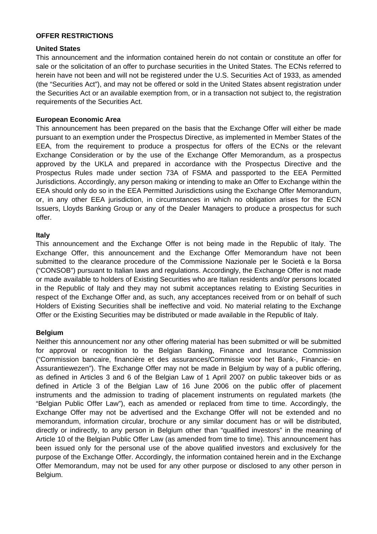# **OFFER RESTRICTIONS**

#### **United States**

This announcement and the information contained herein do not contain or constitute an offer for sale or the solicitation of an offer to purchase securities in the United States. The ECNs referred to herein have not been and will not be registered under the U.S. Securities Act of 1933, as amended (the "Securities Act"), and may not be offered or sold in the United States absent registration under the Securities Act or an available exemption from, or in a transaction not subject to, the registration requirements of the Securities Act.

# **European Economic Area**

This announcement has been prepared on the basis that the Exchange Offer will either be made pursuant to an exemption under the Prospectus Directive, as implemented in Member States of the EEA, from the requirement to produce a prospectus for offers of the ECNs or the relevant Exchange Consideration or by the use of the Exchange Offer Memorandum, as a prospectus approved by the UKLA and prepared in accordance with the Prospectus Directive and the Prospectus Rules made under section 73A of FSMA and passported to the EEA Permitted Jurisdictions. Accordingly, any person making or intending to make an Offer to Exchange within the EEA should only do so in the EEA Permitted Jurisdictions using the Exchange Offer Memorandum, or, in any other EEA jurisdiction, in circumstances in which no obligation arises for the ECN Issuers, Lloyds Banking Group or any of the Dealer Managers to produce a prospectus for such offer.

# **Italy**

This announcement and the Exchange Offer is not being made in the Republic of Italy. The Exchange Offer, this announcement and the Exchange Offer Memorandum have not been submitted to the clearance procedure of the Commissione Nazionale per le Società e la Borsa ("CONSOB") pursuant to Italian laws and regulations. Accordingly, the Exchange Offer is not made or made available to holders of Existing Securities who are Italian residents and/or persons located in the Republic of Italy and they may not submit acceptances relating to Existing Securities in respect of the Exchange Offer and, as such, any acceptances received from or on behalf of such Holders of Existing Securities shall be ineffective and void. No material relating to the Exchange Offer or the Existing Securities may be distributed or made available in the Republic of Italy.

# **Belgium**

Neither this announcement nor any other offering material has been submitted or will be submitted for approval or recognition to the Belgian Banking, Finance and Insurance Commission ("Commission bancaire, financière et des assurances/Commissie voor het Bank-, Financie- en Assurantiewezen"). The Exchange Offer may not be made in Belgium by way of a public offering, as defined in Articles 3 and 6 of the Belgian Law of 1 April 2007 on public takeover bids or as defined in Article 3 of the Belgian Law of 16 June 2006 on the public offer of placement instruments and the admission to trading of placement instruments on regulated markets (the "Belgian Public Offer Law"), each as amended or replaced from time to time. Accordingly, the Exchange Offer may not be advertised and the Exchange Offer will not be extended and no memorandum, information circular, brochure or any similar document has or will be distributed, directly or indirectly, to any person in Belgium other than "qualified investors" in the meaning of Article 10 of the Belgian Public Offer Law (as amended from time to time). This announcement has been issued only for the personal use of the above qualified investors and exclusively for the purpose of the Exchange Offer. Accordingly, the information contained herein and in the Exchange Offer Memorandum, may not be used for any other purpose or disclosed to any other person in Belgium.